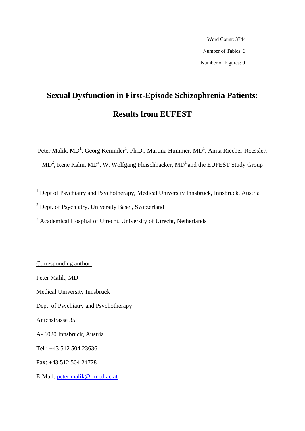Word Count: 3744 Number of Tables: 3 Number of Figures: 0

# **Sexual Dysfunction in First-Episode Schizophrenia Patients: Results from EUFEST**

Peter Malik,  $MD<sup>1</sup>$ , Georg Kemmler<sup>1</sup>, Ph.D., Martina Hummer,  $MD<sup>1</sup>$ , Anita Riecher-Roessler,  $MD<sup>2</sup>$ , Rene Kahn,  $MD<sup>3</sup>$ , W. Wolfgang Fleischhacker,  $MD<sup>1</sup>$  and the EUFEST Study Group

<sup>1</sup> Dept of Psychiatry and Psychotherapy, Medical University Innsbruck, Innsbruck, Austria

<sup>2</sup> Dept. of Psychiatry, University Basel, Switzerland

<sup>3</sup> Academical Hospital of Utrecht, University of Utrecht, Netherlands

Corresponding author: Peter Malik, MD Medical University Innsbruck Dept. of Psychiatry and Psychotherapy Anichstrasse 35 A- 6020 Innsbruck, Austria Tel.: +43 512 504 23636 Fax: +43 512 504 24778 E-Mail. peter.malik@i-med.ac.at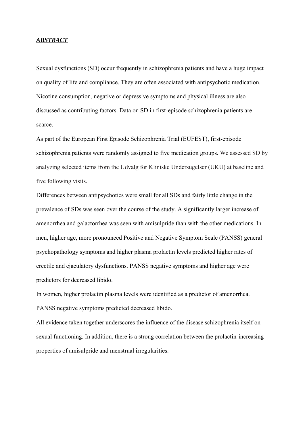## *ABSTRACT*

Sexual dysfunctions (SD) occur frequently in schizophrenia patients and have a huge impact on quality of life and compliance. They are often associated with antipsychotic medication. Nicotine consumption, negative or depressive symptoms and physical illness are also discussed as contributing factors. Data on SD in first-episode schizophrenia patients are scarce.

As part of the European First Episode Schizophrenia Trial (EUFEST), first-episode schizophrenia patients were randomly assigned to five medication groups. We assessed SD by analyzing selected items from the Udvalg for Kliniske Undersugelser (UKU) at baseline and five following visits.

Differences between antipsychotics were small for all SDs and fairly little change in the prevalence of SDs was seen over the course of the study. A significantly larger increase of amenorrhea and galactorrhea was seen with amisulpride than with the other medications. In men, higher age, more pronounced Positive and Negative Symptom Scale (PANSS) general psychopathology symptoms and higher plasma prolactin levels predicted higher rates of erectile and ejaculatory dysfunctions. PANSS negative symptoms and higher age were predictors for decreased libido.

In women, higher prolactin plasma levels were identified as a predictor of amenorrhea. PANSS negative symptoms predicted decreased libido.

All evidence taken together underscores the influence of the disease schizophrenia itself on sexual functioning. In addition, there is a strong correlation between the prolactin-increasing properties of amisulpride and menstrual irregularities.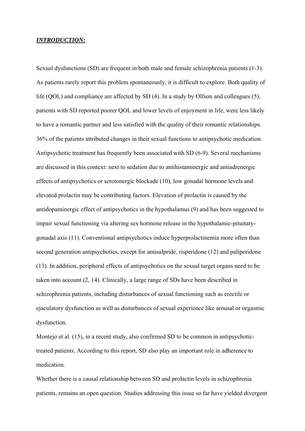### *INTRODUCTION:*

Sexual dysfunctions (SD) are frequent in both male and female schizophrenia patients (1-3). As patients rarely report this problem spontaneously, it is difficult to explore. Both quality of life (QOL) and compliance are affected by SD (4). In a study by Olfson and colleagues (5), patients with SD reported poorer QOL and lower levels of enjoyment in life, were less likely to have a romantic partner and less satisfied with the quality of their romantic relationships. 36% of the patients attributed changes in their sexual functions to antipsychotic medication. Antipsychotic treatment has frequently been associated with SD (6-9). Several mechanisms are discussed in this context: next to sedation due to antihistaminergic and antiadrenergic effects of antipsychotics or serotonergic blockade (10), low gonadal hormone levels and elevated prolactin may be contributing factors. Elevation of prolactin is caused by the antidopaminergic effect of antipsychotics in the hypothalamus (9) and has been suggested to impair sexual functioning via altering sex hormone release in the hypothalamic-pituitarygonadal axis (11). Conventional antipsychotics induce hyperprolactinemia more often than second generation antipsychotics, except for amisulpride, risperidone (12) and paliperidone (13). In addition, peripheral effects of antipsychotics on the sexual target organs need to be taken into account (2, 14). Clinically, a large range of SDs have been described in schizophrenia patients, including disturbances of sexual functioning such as erectile or ejaculatory dysfunction as well as disturbances of sexual experience like arousal or orgasmic dysfunction.

Montejo et al. (15), in a recent study, also confirmed SD to be common in antipsychotictreated patients. According to this report, SD also play an important role in adherence to medication.

Whether there is a causal relationship between SD and prolactin levels in schizophrenia patients, remains an open question. Studies addressing this issue so far have yielded divergent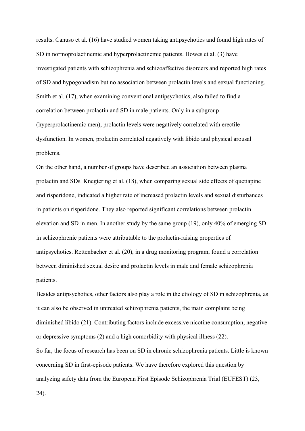results. Canuso et al. (16) have studied women taking antipsychotics and found high rates of SD in normoprolactinemic and hyperprolactinemic patients. Howes et al. (3) have investigated patients with schizophrenia and schizoaffective disorders and reported high rates of SD and hypogonadism but no association between prolactin levels and sexual functioning. Smith et al. (17), when examining conventional antipsychotics, also failed to find a correlation between prolactin and SD in male patients. Only in a subgroup (hyperprolactinemic men), prolactin levels were negatively correlated with erectile dysfunction. In women, prolactin correlated negatively with libido and physical arousal problems.

On the other hand, a number of groups have described an association between plasma prolactin and SDs. Knegtering et al. (18), when comparing sexual side effects of quetiapine and risperidone, indicated a higher rate of increased prolactin levels and sexual disturbances in patients on risperidone. They also reported significant correlations between prolactin elevation and SD in men. In another study by the same group (19), only 40% of emerging SD in schizophrenic patients were attributable to the prolactin-raising properties of antipsychotics. Rettenbacher et al. (20), in a drug monitoring program, found a correlation between diminished sexual desire and prolactin levels in male and female schizophrenia patients.

Besides antipsychotics, other factors also play a role in the etiology of SD in schizophrenia, as it can also be observed in untreated schizophrenia patients, the main complaint being diminished libido (21). Contributing factors include excessive nicotine consumption, negative or depressive symptoms (2) and a high comorbidity with physical illness (22). So far, the focus of research has been on SD in chronic schizophrenia patients. Little is known concerning SD in first-episode patients. We have therefore explored this question by analyzing safety data from the European First Episode Schizophrenia Trial (EUFEST) (23,

24).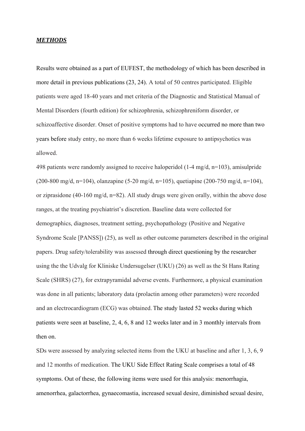## *METHODS*

Results were obtained as a part of EUFEST, the methodology of which has been described in more detail in previous publications (23, 24). A total of 50 centres participated. Eligible patients were aged 18-40 years and met criteria of the Diagnostic and Statistical Manual of Mental Disorders (fourth edition) for schizophrenia, schizophreniform disorder, or schizoaffective disorder. Onset of positive symptoms had to have occurred no more than two years before study entry, no more than 6 weeks lifetime exposure to antipsychotics was allowed.

498 patients were randomly assigned to receive haloperidol (1-4 mg/d, n=103), amisulpride (200-800 mg/d, n=104), olanzapine (5-20 mg/d, n=105), quetiapine (200-750 mg/d, n=104), or ziprasidone (40-160 mg/d, n=82). All study drugs were given orally, within the above dose ranges, at the treating psychiatrist's discretion. Baseline data were collected for demographics, diagnoses, treatment setting, psychopathology (Positive and Negative Syndrome Scale [PANSS]) (25), as well as other outcome parameters described in the original papers. Drug safety/tolerability was assessed through direct questioning by the researcher using the the Udvalg for Kliniske Undersugelser (UKU) (26) as well as the St Hans Rating Scale (SHRS) (27), for extrapyramidal adverse events. Furthermore, a physical examination was done in all patients; laboratory data (prolactin among other parameters) were recorded and an electrocardiogram (ECG) was obtained. The study lasted 52 weeks during which patients were seen at baseline, 2, 4, 6, 8 and 12 weeks later and in 3 monthly intervals from then on.

SDs were assessed by analyzing selected items from the UKU at baseline and after 1, 3, 6, 9 and 12 months of medication. The UKU Side Effect Rating Scale comprises a total of 48 symptoms. Out of these, the following items were used for this analysis: menorrhagia, amenorrhea, galactorrhea, gynaecomastia, increased sexual desire, diminished sexual desire,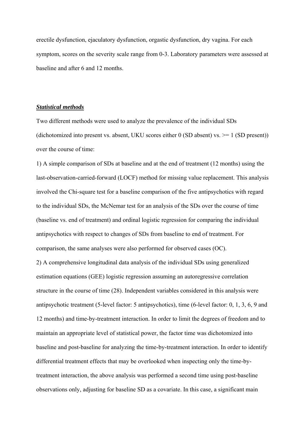erectile dysfunction, ejaculatory dysfunction, orgastic dysfunction, dry vagina. For each symptom, scores on the severity scale range from 0-3. Laboratory parameters were assessed at baseline and after 6 and 12 months.

## *Statistical methods*

Two different methods were used to analyze the prevalence of the individual SDs (dichotomized into present vs. absent, UKU scores either 0 (SD absent) vs.  $\geq 1$  (SD present)) over the course of time:

1) A simple comparison of SDs at baseline and at the end of treatment (12 months) using the last-observation-carried-forward (LOCF) method for missing value replacement. This analysis involved the Chi-square test for a baseline comparison of the five antipsychotics with regard to the individual SDs, the McNemar test for an analysis of the SDs over the course of time (baseline vs. end of treatment) and ordinal logistic regression for comparing the individual antipsychotics with respect to changes of SDs from baseline to end of treatment. For comparison, the same analyses were also performed for observed cases (OC). 2) A comprehensive longitudinal data analysis of the individual SDs using generalized estimation equations (GEE) logistic regression assuming an autoregressive correlation structure in the course of time (28). Independent variables considered in this analysis were antipsychotic treatment (5-level factor: 5 antipsychotics), time (6-level factor: 0, 1, 3, 6, 9 and 12 months) and time-by-treatment interaction. In order to limit the degrees of freedom and to maintain an appropriate level of statistical power, the factor time was dichotomized into baseline and post-baseline for analyzing the time-by-treatment interaction. In order to identify differential treatment effects that may be overlooked when inspecting only the time-bytreatment interaction, the above analysis was performed a second time using post-baseline observations only, adjusting for baseline SD as a covariate. In this case, a significant main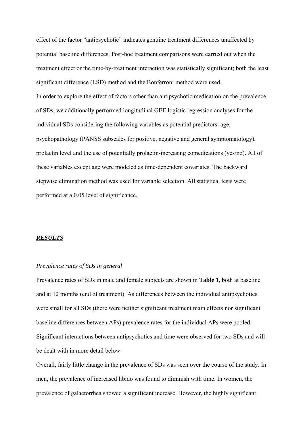effect of the factor "antipsychotic" indicates genuine treatment differences unaffected by potential baseline differences. Post-hoc treatment comparisons were carried out when the treatment effect or the time-by-treatment interaction was statistically significant; both the least significant difference (LSD) method and the Bonferroni method were used. In order to explore the effect of factors other than antipsychotic medication on the prevalence of SDs, we additionally performed longitudinal GEE logistic regression analyses for the individual SDs considering the following variables as potential predictors: age, psychopathology (PANSS subscales for positive, negative and general symptomatology), prolactin level and the use of potentially prolactin-increasing comedications (yes/no). All of these variables except age were modeled as time-dependent covariates. The backward stepwise elimination method was used for variable selection. All statistical tests were performed at a 0.05 level of significance.

## *RESULTS*

## *Prevalence rates of SDs in general*

Prevalence rates of SDs in male and female subjects are shown in **Table 1**, both at baseline and at 12 months (end of treatment). As differences between the individual antipsychotics were small for all SDs (there were neither significant treatment main effects nor significant baseline differences between APs) prevalence rates for the individual APs were pooled. Significant interactions between antipsychotics and time were observed for two SDs and will be dealt with in more detail below.

Overall, fairly little change in the prevalence of SDs was seen over the course of the study. In men, the prevalence of increased libido was found to diminish with time. In women, the prevalence of galactorrhea showed a significant increase. However, the highly significant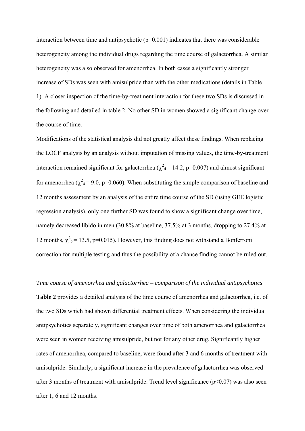interaction between time and antipsychotic  $(p=0.001)$  indicates that there was considerable heterogeneity among the individual drugs regarding the time course of galactorrhea. A similar heterogeneity was also observed for amenorrhea. In both cases a significantly stronger increase of SDs was seen with amisulpride than with the other medications (details in Table 1). A closer inspection of the time-by-treatment interaction for these two SDs is discussed in the following and detailed in table 2. No other SD in women showed a significant change over the course of time.

Modifications of the statistical analysis did not greatly affect these findings. When replacing the LOCF analysis by an analysis without imputation of missing values, the time-by-treatment interaction remained significant for galactorrhea ( $\chi^2$ <sub>4</sub> = 14.2, p=0.007) and almost significant for amenorrhea ( $\chi^2$ <sub>4</sub> = 9.0, p=0.060). When substituting the simple comparison of baseline and 12 months assessment by an analysis of the entire time course of the SD (using GEE logistic regression analysis), only one further SD was found to show a significant change over time, namely decreased libido in men (30.8% at baseline, 37.5% at 3 months, dropping to 27.4% at 12 months,  $\chi^2$ <sub>5</sub> = 13.5, p=0.015). However, this finding does not withstand a Bonferroni correction for multiple testing and thus the possibility of a chance finding cannot be ruled out.

## *Time course of amenorrhea and galactorrhea – comparison of the individual antipsychotics*

**Table 2** provides a detailed analysis of the time course of amenorrhea and galactorrhea, i.e. of the two SDs which had shown differential treatment effects. When considering the individual antipsychotics separately, significant changes over time of both amenorrhea and galactorrhea were seen in women receiving amisulpride, but not for any other drug. Significantly higher rates of amenorrhea, compared to baseline, were found after 3 and 6 months of treatment with amisulpride. Similarly, a significant increase in the prevalence of galactorrhea was observed after 3 months of treatment with amisulpride. Trend level significance ( $p<0.07$ ) was also seen after 1, 6 and 12 months.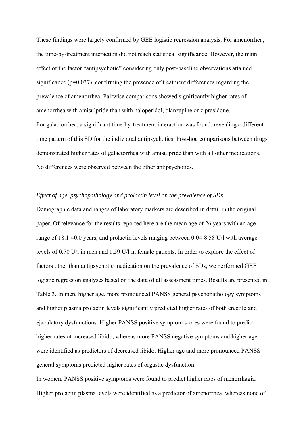These findings were largely confirmed by GEE logistic regression analysis. For amenorrhea, the time-by-treatment interaction did not reach statistical significance. However, the main effect of the factor "antipsychotic" considering only post-baseline observations attained significance ( $p=0.037$ ), confirming the presence of treatment differences regarding the prevalence of amenorrhea. Pairwise comparisons showed significantly higher rates of amenorrhea with amisulpride than with haloperidol, olanzapine or ziprasidone. For galactorrhea, a significant time-by-treatment interaction was found, revealing a different time pattern of this SD for the individual antipsychotics. Post-hoc comparisons between drugs demonstrated higher rates of galactorrhea with amisulpride than with all other medications. No differences were observed between the other antipsychotics.

## *Effect of age, psychopathology and prolactin level on the prevalence of SDs*

Demographic data and ranges of laboratory markers are described in detail in the original paper. Of relevance for the results reported here are the mean age of 26 years with an age range of 18.1-40.0 years, and prolactin levels ranging between 0.04-8.58 U/l with average levels of 0.70 U/l in men and 1.59 U/l in female patients. In order to explore the effect of factors other than antipsychotic medication on the prevalence of SDs, we performed GEE logistic regression analyses based on the data of all assessment times. Results are presented in Table 3. In men, higher age, more pronounced PANSS general psychopathology symptoms and higher plasma prolactin levels significantly predicted higher rates of both erectile and ejaculatory dysfunctions. Higher PANSS positive symptom scores were found to predict higher rates of increased libido, whereas more PANSS negative symptoms and higher age were identified as predictors of decreased libido. Higher age and more pronounced PANSS general symptoms predicted higher rates of orgastic dysfunction.

In women, PANSS positive symptoms were found to predict higher rates of menorrhagia. Higher prolactin plasma levels were identified as a predictor of amenorrhea, whereas none of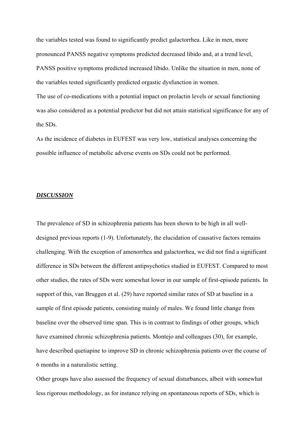the variables tested was found to significantly predict galactorrhea. Like in men, more pronounced PANSS negative symptoms predicted decreased libido and, at a trend level, PANSS positive symptoms predicted increased libido. Unlike the situation in men, none of the variables tested significantly predicted orgastic dysfunction in women.

The use of co-medications with a potential impact on prolactin levels or sexual functioning was also considered as a potential predictor but did not attain statistical significance for any of the SDs.

As the incidence of diabetes in EUFEST was very low, statistical analyses concerning the possible influence of metabolic adverse events on SDs could not be performed.

## *DISCUSSION*

The prevalence of SD in schizophrenia patients has been shown to be high in all welldesigned previous reports (1-9). Unfortunately, the elucidation of causative factors remains challenging. With the exception of amenorrhea and galactorrhea, we did not find a significant difference in SDs between the different antipsychotics studied in EUFEST. Compared to most other studies, the rates of SDs were somewhat lower in our sample of first-episode patients. In support of this, van Bruggen et al. (29) have reported similar rates of SD at baseline in a sample of first episode patients, consisting mainly of males. We found little change from baseline over the observed time span. This is in contrast to findings of other groups, which have examined chronic schizophrenia patients. Montejo and colleagues (30), for example, have described quetiapine to improve SD in chronic schizophrenia patients over the course of 6 months in a naturalistic setting.

Other groups have also assessed the frequency of sexual disturbances, albeit with somewhat less rigorous methodology, as for instance relying on spontaneous reports of SDs, which is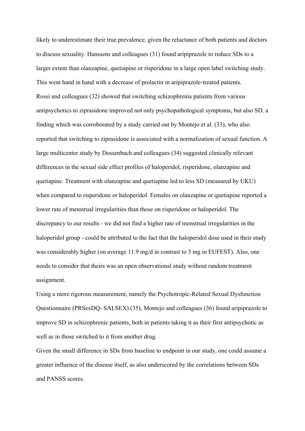likely to underestimate their true prevalence, given the reluctance of both patients and doctors to discuss sexuality. Hanssens and colleagues (31) found aripiprazole to reduce SDs to a larger extent than olanzapine, quetiapine or risperidone in a large open label switching study. This went hand in hand with a decrease of prolactin in aripiprazole-treated patients. Rossi and colleagues (32) showed that switching schizophrenia patients from various antipsychotics to ziprasidone improved not only psychopathological symptoms, but also SD, a finding which was corroborated by a study carried out by Montejo et al. (33), who also reported that switching to ziprasidone is associated with a normalization of sexual function. A large multicenter study by Dossenbach and colleagues (34) suggested clinically relevant differences in the sexual side effect profiles of haloperidol, risperidone, olanzapine and quetiapine. Treatment with olanzapine and quetiapine led to less SD (measured by UKU) when compared to risperidone or haloperidol. Females on olanzapine or quetiapine reported a lower rate of menstrual irregularities than those on risperidone or haloperidol. The discrepancy to our results - we did not find a higher rate of menstrual irregularities in the haloperidol group - could be attributed to the fact that the haloperidol dose used in their study was considerably higher (on average 11.9 mg/d in contrast to 3 mg in EUFEST). Also, one needs to consider that theirs was an open observational study without random treatment assignment.

Using a more rigorous measurement, namely the Psychotropic-Related Sexual Dysfunction Questionnaire (PRSexDQ- SALSEX) (35), Montejo and colleagues (36) found aripiprazole to improve SD in schizophrenic patients, both in patients taking it as their first antipsychotic as well as in those switched to it from another drug.

Given the small difference in SDs from baseline to endpoint in our study, one could assume a greater influence of the disease itself, as also underscored by the correlations between SDs and PANSS scores.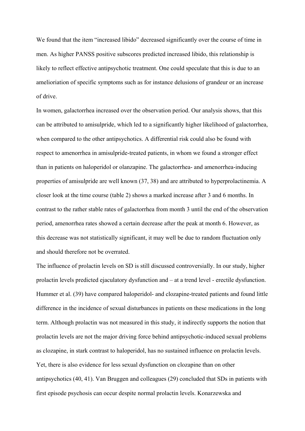We found that the item "increased libido" decreased significantly over the course of time in men. As higher PANSS positive subscores predicted increased libido, this relationship is likely to reflect effective antipsychotic treatment. One could speculate that this is due to an amelioriation of specific symptoms such as for instance delusions of grandeur or an increase of drive.

In women, galactorrhea increased over the observation period. Our analysis shows, that this can be attributed to amisulpride, which led to a significantly higher likelihood of galactorrhea, when compared to the other antipsychotics. A differential risk could also be found with respect to amenorrhea in amisulpride-treated patients, in whom we found a stronger effect than in patients on haloperidol or olanzapine. The galactorrhea- and amenorrhea-inducing properties of amisulpride are well known (37, 38) and are attributed to hyperprolactinemia. A closer look at the time course (table 2) shows a marked increase after 3 and 6 months. In contrast to the rather stable rates of galactorrhea from month 3 until the end of the observation period, amenorrhea rates showed a certain decrease after the peak at month 6. However, as this decrease was not statistically significant, it may well be due to random fluctuation only and should therefore not be overrated.

The influence of prolactin levels on SD is still discussed controversially. In our study, higher prolactin levels predicted ejaculatory dysfunction and – at a trend level - erectile dysfunction. Hummer et al. (39) have compared haloperidol- and clozapine-treated patients and found little difference in the incidence of sexual disturbances in patients on these medications in the long term. Although prolactin was not measured in this study, it indirectly supports the notion that prolactin levels are not the major driving force behind antipsychotic-induced sexual problems as clozapine, in stark contrast to haloperidol, has no sustained influence on prolactin levels. Yet, there is also evidence for less sexual dysfunction on clozapine than on other antipsychotics (40, 41). Van Bruggen and colleagues (29) concluded that SDs in patients with first episode psychosis can occur despite normal prolactin levels. Konarzewska and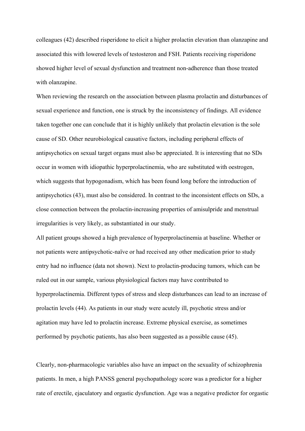colleagues (42) described risperidone to elicit a higher prolactin elevation than olanzapine and associated this with lowered levels of testosteron and FSH. Patients receiving risperidone showed higher level of sexual dysfunction and treatment non-adherence than those treated with olanzapine.

When reviewing the research on the association between plasma prolactin and disturbances of sexual experience and function, one is struck by the inconsistency of findings. All evidence taken together one can conclude that it is highly unlikely that prolactin elevation is the sole cause of SD. Other neurobiological causative factors, including peripheral effects of antipsychotics on sexual target organs must also be appreciated. It is interesting that no SDs occur in women with idiopathic hyperprolactinemia, who are substituted with oestrogen, which suggests that hypogonadism, which has been found long before the introduction of antipsychotics (43), must also be considered. In contrast to the inconsistent effects on SDs, a close connection between the prolactin-increasing properties of amisulpride and menstrual irregularities is very likely, as substantiated in our study.

All patient groups showed a high prevalence of hyperprolactinemia at baseline. Whether or not patients were antipsychotic-naïve or had received any other medication prior to study entry had no influence (data not shown). Next to prolactin-producing tumors, which can be ruled out in our sample, various physiological factors may have contributed to hyperprolactinemia. Different types of stress and sleep disturbances can lead to an increase of prolactin levels (44). As patients in our study were acutely ill, psychotic stress and/or agitation may have led to prolactin increase. Extreme physical exercise, as sometimes performed by psychotic patients, has also been suggested as a possible cause (45).

Clearly, non-pharmacologic variables also have an impact on the sexuality of schizophrenia patients. In men, a high PANSS general psychopathology score was a predictor for a higher rate of erectile, ejaculatory and orgastic dysfunction. Age was a negative predictor for orgastic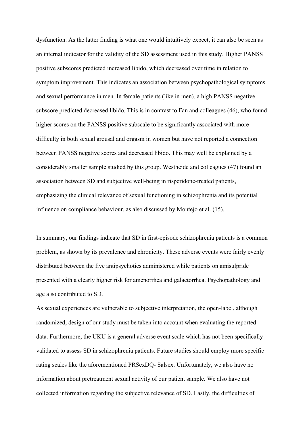dysfunction. As the latter finding is what one would intuitively expect, it can also be seen as an internal indicator for the validity of the SD assessment used in this study. Higher PANSS positive subscores predicted increased libido, which decreased over time in relation to symptom improvement. This indicates an association between psychopathological symptoms and sexual performance in men. In female patients (like in men), a high PANSS negative subscore predicted decreased libido. This is in contrast to Fan and colleagues (46), who found higher scores on the PANSS positive subscale to be significantly associated with more difficulty in both sexual arousal and orgasm in women but have not reported a connection between PANSS negative scores and decreased libido. This may well be explained by a considerably smaller sample studied by this group. Westheide and colleagues (47) found an association between SD and subjective well-being in risperidone-treated patients, emphasizing the clinical relevance of sexual functioning in schizophrenia and its potential influence on compliance behaviour, as also discussed by Montejo et al. (15).

In summary, our findings indicate that SD in first-episode schizophrenia patients is a common problem, as shown by its prevalence and chronicity. These adverse events were fairly evenly distributed between the five antipsychotics administered while patients on amisulpride presented with a clearly higher risk for amenorrhea and galactorrhea. Psychopathology and age also contributed to SD.

As sexual experiences are vulnerable to subjective interpretation, the open-label, although randomized, design of our study must be taken into account when evaluating the reported data. Furthermore, the UKU is a general adverse event scale which has not been specifically validated to assess SD in schizophrenia patients. Future studies should employ more specific rating scales like the aforementioned PRSexDQ- Salsex. Unfortunately, we also have no information about pretreatment sexual activity of our patient sample. We also have not collected information regarding the subjective relevance of SD. Lastly, the difficulties of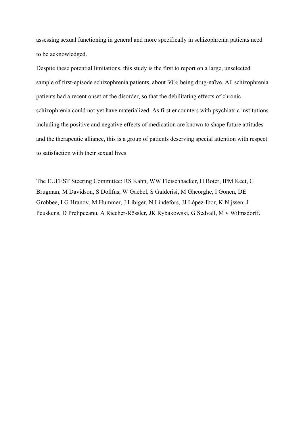assessing sexual functioning in general and more specifically in schizophrenia patients need to be acknowledged.

Despite these potential limitations, this study is the first to report on a large, unselected sample of first-episode schizophrenia patients, about 30% being drug-naïve. All schizophrenia patients had a recent onset of the disorder, so that the debilitating effects of chronic schizophrenia could not yet have materialized. As first encounters with psychiatric institutions including the positive and negative effects of medication are known to shape future attitudes and the therapeutic alliance, this is a group of patients deserving special attention with respect to satisfaction with their sexual lives.

The EUFEST Steering Committee: RS Kahn, WW Fleischhacker, H Boter, IPM Keet, C Brugman, M Davidson, S Dollfus, W Gaebel, S Galderisi, M Gheorghe, I Gonen, DE Grobbee, LG Hranov, M Hummer, J Libiger, N Lindefors, JJ López-Ibor, K Nijssen, J Peuskens, D Prelipceanu, A Riecher-Rössler, JK Rybakowski, G Sedvall, M v Wilmsdorff.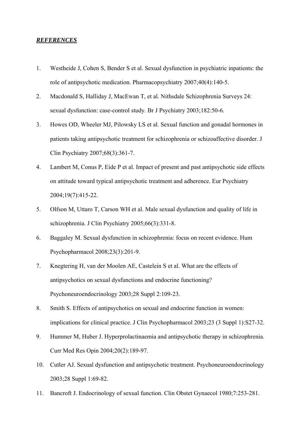## *REFERENCES*

- 1. Westheide J, Cohen S, Bender S et al. Sexual dysfunction in psychiatric inpatients: the role of antipsychotic medication. Pharmacopsychiatry 2007;40(4):140-5.
- 2. Macdonald S, Halliday J, MacEwan T, et al. Nithsdale Schizophrenia Surveys 24: sexual dysfunction: case-control study. Br J Psychiatry 2003;182:50-6.
- 3. Howes OD, Wheeler MJ, Pilowsky LS et al. Sexual function and gonadal hormones in patients taking antipsychotic treatment for schizophrenia or schizoaffective disorder. J Clin Psychiatry 2007;68(3):361-7.
- 4. Lambert M, Conus P, Eide P et al. Impact of present and past antipsychotic side effects on attitude toward typical antipsychotic treatment and adherence. Eur Psychiatry 2004;19(7):415-22.
- 5. Olfson M, Uttaro T, Carson WH et al. Male sexual dysfunction and quality of life in schizophrenia. J Clin Psychiatry 2005;66(3):331-8.
- 6. Baggaley M. Sexual dysfunction in schizophrenia: focus on recent evidence. Hum Psychopharmacol 2008;23(3):201-9.
- 7. Knegtering H, van der Moolen AE, Castelein S et al. What are the effects of antipsychotics on sexual dysfunctions and endocrine functioning? Psychoneuroendocrinology 2003;28 Suppl 2:109-23.
- 8. Smith S. Effects of antipsychotics on sexual and endocrine function in women: implications for clinical practice. J Clin Psychopharmacol 2003;23 (3 Suppl 1):S27-32.
- 9. Hummer M, Huber J. Hyperprolactinaemia and antipsychotic therapy in schizophrenia. Curr Med Res Opin 2004;20(2):189-97.
- 10. Cutler AJ. Sexual dysfunction and antipsychotic treatment. Psychoneuroendocrinology 2003;28 Suppl 1:69-82.
- 11. Bancroft J. Endocrinology of sexual function. Clin Obstet Gynaecol 1980;7:253-281.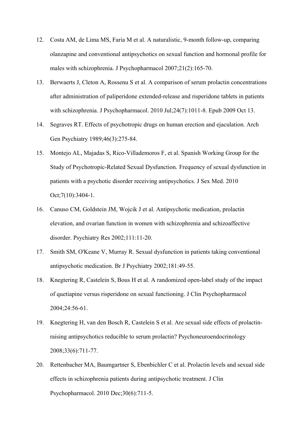- 12. Costa AM, de Lima MS, Faria M et al. A naturalistic, 9-month follow-up, comparing olanzapine and conventional antipsychotics on sexual function and hormonal profile for males with schizophrenia. J Psychopharmacol 2007;21(2):165-70.
- 13. Berwaerts J, Cleton A, Rossenu S et al. A comparison of serum prolactin concentrations after administration of paliperidone extended-release and risperidone tablets in patients with schizophrenia. J Psychopharmacol. 2010 Jul;24(7):1011-8. Epub 2009 Oct 13.
- 14. Segraves RT. Effects of psychotropic drugs on human erection and ejaculation. Arch Gen Psychiatry 1989;46(3):275-84.
- 15. Montejo AL, Majadas S, Rico-Villademoros F, et al. Spanish Working Group for the Study of Psychotropic-Related Sexual Dysfunction. Frequency of sexual dysfunction in patients with a psychotic disorder receiving antipsychotics. J Sex Med. 2010 Oct;7(10):3404-1.
- 16. Canuso CM, Goldstein JM, Wojcik J et al. Antipsychotic medication, prolactin elevation, and ovarian function in women with schizophrenia and schizoaffective disorder. Psychiatry Res 2002;111:11-20.
- 17. Smith SM, O'Keane V, Murray R. Sexual dysfunction in patients taking conventional antipsychotic medication. Br J Psychiatry 2002;181:49-55.
- 18. Knegtering R, Castelein S, Bous H et al. A randomized open-label study of the impact of quetiapine versus risperidone on sexual functioning. J Clin Psychopharmacol 2004;24:56-61.
- 19. Knegtering H, van den Bosch R, Castelein S et al. Are sexual side effects of prolactinraising antipsychotics reducible to serum prolactin? Psychoneuroendocrinology 2008;33(6):711-77.
- 20. Rettenbacher MA, Baumgartner S, Ebenbichler C et al. Prolactin levels and sexual side effects in schizophrenia patients during antipsychotic treatment. J Clin Psychopharmacol. 2010 Dec;30(6):711-5.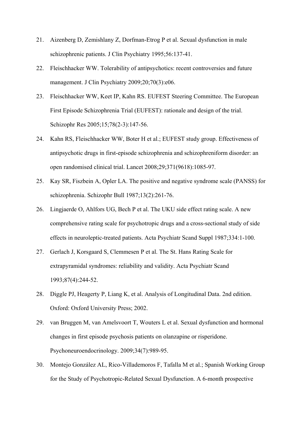- 21. Aizenberg D, Zemishlany Z, Dorfman-Etrog P et al. Sexual dysfunction in male schizophrenic patients. J Clin Psychiatry 1995;56:137-41.
- 22. Fleischhacker WW. Tolerability of antipsychotics: recent controversies and future management. J Clin Psychiatry 2009;20;70(3):e06.
- 23. Fleischhacker WW, Keet IP, Kahn RS. EUFEST Steering Committee. The European First Episode Schizophrenia Trial (EUFEST): rationale and design of the trial. Schizophr Res 2005;15;78(2-3):147-56.
- 24. Kahn RS, Fleischhacker WW, Boter H et al.; EUFEST study group. Effectiveness of antipsychotic drugs in first-episode schizophrenia and schizophreniform disorder: an open randomised clinical trial. Lancet 2008;29;371(9618):1085-97.
- 25. Kay SR, Fiszbein A, Opler LA. The positive and negative syndrome scale (PANSS) for schizophrenia. Schizophr Bull 1987;13(2):261-76.
- 26. Lingjaerde O, Ahlfors UG, Bech P et al. The UKU side effect rating scale. A new comprehensive rating scale for psychotropic drugs and a cross-sectional study of side effects in neuroleptic-treated patients. Acta Psychiatr Scand Suppl 1987;334:1-100.
- 27. Gerlach J, Korsgaard S, Clemmesen P et al. The St. Hans Rating Scale for extrapyramidal syndromes: reliability and validity. Acta Psychiatr Scand 1993;87(4):244-52.
- 28. Diggle PJ, Heagerty P, Liang K, et al. Analysis of Longitudinal Data. 2nd edition. Oxford: Oxford University Press; 2002.
- 29. van Bruggen M, van Amelsvoort T, Wouters L et al. Sexual dysfunction and hormonal changes in first episode psychosis patients on olanzapine or risperidone. Psychoneuroendocrinology. 2009;34(7):989-95.
- 30. Montejo González AL, Rico-Villademoros F, Tafalla M et al.; Spanish Working Group for the Study of Psychotropic-Related Sexual Dysfunction. A 6-month prospective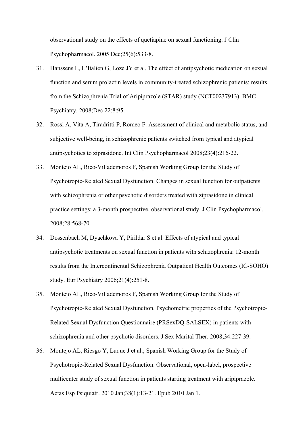observational study on the effects of quetiapine on sexual functioning. J Clin Psychopharmacol. 2005 Dec;25(6):533-8.

- 31. Hanssens L, L'Italien G, Loze JY et al. The effect of antipsychotic medication on sexual function and serum prolactin levels in community-treated schizophrenic patients: results from the Schizophrenia Trial of Aripiprazole (STAR) study (NCT00237913). BMC Psychiatry. 2008;Dec 22:8:95.
- 32. Rossi A, Vita A, Tiradritti P, Romeo F. Assessment of clinical and metabolic status, and subjective well-being, in schizophrenic patients switched from typical and atypical antipsychotics to ziprasidone. Int Clin Psychopharmacol 2008;23(4):216-22.
- 33. Montejo AL, Rico-Villademoros F, Spanish Working Group for the Study of Psychotropic-Related Sexual Dysfunction. Changes in sexual function for outpatients with schizophrenia or other psychotic disorders treated with ziprasidone in clinical practice settings: a 3-month prospective, observational study. J Clin Psychopharmacol. 2008;28:568-70.
- 34. Dossenbach M, Dyachkova Y, Pirildar S et al. Effects of atypical and typical antipsychotic treatments on sexual function in patients with schizophrenia: 12-month results from the Intercontinental Schizophrenia Outpatient Health Outcomes (IC-SOHO) study. Eur Psychiatry 2006;21(4):251-8.
- 35. Montejo AL, Rico-Villademoros F, Spanish Working Group for the Study of Psychotropic-Related Sexual Dysfunction. Psychometric properties of the Psychotropic-Related Sexual Dysfunction Questionnaire (PRSexDQ-SALSEX) in patients with schizophrenia and other psychotic disorders. J Sex Marital Ther. 2008;34:227-39.
- 36. Montejo AL, Riesgo Y, Luque J et al.; Spanish Working Group for the Study of Psychotropic-Related Sexual Dysfunction. Observational, open-label, prospective multicenter study of sexual function in patients starting treatment with aripiprazole. Actas Esp Psiquiatr. 2010 Jan;38(1):13-21. Epub 2010 Jan 1.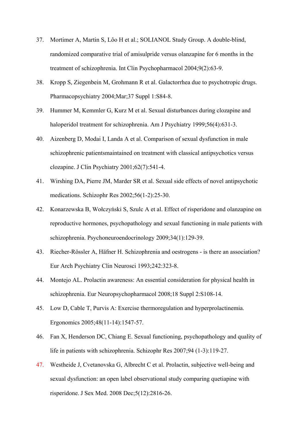- 37. Mortimer A, Martin S, Lôo H et al.; SOLIANOL Study Group. A double-blind, randomized comparative trial of amisulpride versus olanzapine for 6 months in the treatment of schizophrenia. Int Clin Psychopharmacol 2004;9(2):63-9.
- 38. Kropp S, Ziegenbein M, Grohmann R et al. Galactorrhea due to psychotropic drugs. Pharmacopsychiatry 2004;Mar;37 Suppl 1:S84-8.
- 39. Hummer M, Kemmler G, Kurz M et al. Sexual disturbances during clozapine and haloperidol treatment for schizophrenia. Am J Psychiatry 1999;56(4):631-3.
- 40. Aizenberg D, Modai I, Landa A et al. Comparison of sexual dysfunction in male schizophrenic patientsmaintained on treatment with classical antipsychotics versus clozapine. J Clin Psychiatry 2001;62(7):541-4.
- 41. Wirshing DA, Pierre JM, Marder SR et al. Sexual side effects of novel antipsychotic medications. Schizophr Res 2002;56(1-2):25-30.
- 42. Konarzewska B, Wołczyński S, Szulc A et al. Effect of risperidone and olanzapine on reproductive hormones, psychopathology and sexual functioning in male patients with schizophrenia. Psychoneuroendocrinology 2009;34(1):129-39.
- 43. Riecher-Rössler A, Häfner H. Schizophrenia and oestrogens is there an association? Eur Arch Psychiatry Clin Neurosci 1993;242:323-8.
- 44. Montejo AL. Prolactin awareness: An essential consideration for physical health in schizophrenia. Eur Neuropsychopharmacol 2008;18 Suppl 2:S108-14.
- 45. Low D, Cable T, Purvis A: Exercise thermoregulation and hyperprolactinemia. Ergonomics 2005;48(11-14):1547-57.
- 46. Fan X, Henderson DC, Chiang E. Sexual functioning, psychopathology and quality of life in patients with schizophrenia. Schizophr Res 2007;94 (1-3):119-27.
- 47. Westheide J, Cvetanovska G, Albrecht C et al. Prolactin, subjective well-being and sexual dysfunction: an open label observational study comparing quetiapine with risperidone. J Sex Med. 2008 Dec;5(12):2816-26.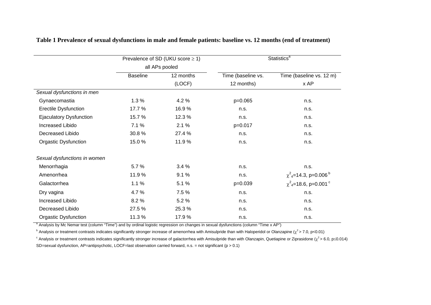|                                |                 | Prevalence of SD (UKU score $\geq$ 1) | <b>Statistics<sup>a</sup></b> |                                                   |  |  |
|--------------------------------|-----------------|---------------------------------------|-------------------------------|---------------------------------------------------|--|--|
|                                | all APs pooled  |                                       |                               |                                                   |  |  |
|                                | <b>Baseline</b> | 12 months                             | Time (baseline vs.            | Time (baseline vs. 12 m)                          |  |  |
|                                |                 | (LOCF)                                | 12 months)                    | x AP                                              |  |  |
| Sexual dysfunctions in men     |                 |                                       |                               |                                                   |  |  |
| Gynaecomastia                  | 1.3%            | 4.2 %                                 | p=0.065                       | n.s.                                              |  |  |
| <b>Erectile Dysfunction</b>    | 17.7 %          | 16.9%                                 | n.s.                          | n.s.                                              |  |  |
| <b>Ejaculatory Dysfunction</b> | 15.7%           | 12.3%                                 | n.s.                          | n.s.                                              |  |  |
| Increased Libido               | 7.1 %           | 2.1%                                  | p=0.017                       | n.s.                                              |  |  |
| Decreased Libido               | 30.8%           | 27.4 %                                | n.s.                          | n.s.                                              |  |  |
| <b>Orgastic Dysfunction</b>    | 15.0%           | 11.9%                                 | n.s.                          | n.s.                                              |  |  |
| Sexual dysfunctions in women   |                 |                                       |                               |                                                   |  |  |
| Menorrhagia                    | 5.7%            | 3.4%                                  | n.s.                          | n.s.                                              |  |  |
| Amenorrhea                     | 11.9%           | 9.1%                                  | n.s.                          | $\chi^2$ <sub>4</sub> =14.3, p=0.006 <sup>b</sup> |  |  |
| Galactorrhea                   | 1.1%            | 5.1 %                                 | $p=0.039$                     | $\chi^2$ <sub>4</sub> =18.6, p=0.001 <sup>c</sup> |  |  |
| Dry vagina                     | 4.7%            | 7.5 %                                 | n.s.                          | n.s.                                              |  |  |
| Increased Libido               | 8.2%            | 5.2%                                  | n.s.                          | n.s.                                              |  |  |
| Decreased Libido               | 27.5%           | 25.3%                                 | n.s.                          | n.s.                                              |  |  |
| <b>Orgastic Dysfunction</b>    | 11.3%           | 17.9%                                 | n.s.                          | n.s.                                              |  |  |

**Table 1 Prevalence of sexual dysfunctions in male and female patients: baseline vs. 12 months (end of treatment)** 

<sup>a</sup> Analysis by Mc Nemar test (column "Time") and by ordinal logistic regression on changes in sexual dysfunctions (column "Time x AP")

<sup>b</sup> Analysis or treatment contrasts indicates significantly stronger increase of amenorrhea with Amisulpride than with Haloperidol or Olanzapine ( $\chi^2$  > 7.0, p<0.01)

<sup>c</sup> Analysis or treatment contrasts indicates significantly stronger increase of galactorrhea with Amisulpride than with Olanzapin, Quetiapine or Ziprasidone ( $\chi^2$  > 6.0, p mules 0.014)

SD=sexual dysfunction, AP=antipsychotic, LOCF=last observation carried forward, n.s. = not significant ( $p > 0.1$ )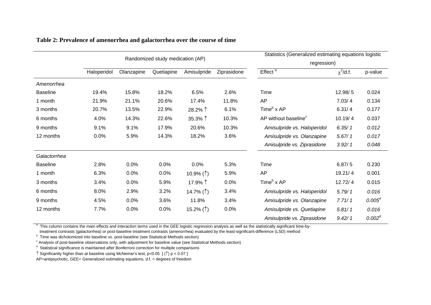|                 | Randomized study medication (AP) |            |            |                          | Statistics (Generalized estimating equations logistic<br>regression) |                                             |                |             |
|-----------------|----------------------------------|------------|------------|--------------------------|----------------------------------------------------------------------|---------------------------------------------|----------------|-------------|
|                 |                                  |            |            |                          |                                                                      |                                             |                |             |
|                 | Haloperidol                      | Olanzapine | Quetiapine | Amisulpride              | Ziprasidone                                                          | $E$ ffect $a$                               | $\chi^2$ /d.f. | p-value     |
| Amenorrhea      |                                  |            |            |                          |                                                                      |                                             |                |             |
| <b>Baseline</b> | 19.4%                            | 15.8%      | 18.2%      | 6.5%                     | 2.6%                                                                 | Time                                        | 12.98/5        | 0.024       |
| 1 month         | 21.9%                            | 21.1%      | 20.6%      | 17.4%                    | 11.8%                                                                | AP                                          | 7.03/4         | 0.134       |
| 3 months        | 20.7%                            | 13.5%      | 22.9%      | 28.2% ↑                  | 6.1%                                                                 | Time <sup>b</sup> x AP                      | 6.31/4         | 0.177       |
| 6 months        | 4.0%                             | 14.3%      | 22.6%      | 35.3% ↑                  | 10.3%                                                                | AP without baseline <sup>c</sup><br>10.19/4 |                | 0.037       |
| 9 months        | 9.1%                             | 9.1%       | 17.9%      | 20.6%                    | 10.3%                                                                | Amisulpride vs. Haloperidol                 | 6.35/1         | 0.012       |
| 12 months       | 0.0%                             | 5.9%       | 14.3%      | 18.2%                    | 3.6%                                                                 | Amisulpride vs. Olanzapine                  | 5.67/1         | 0.017       |
|                 |                                  |            |            |                          |                                                                      | Amisulpride vs. Ziprasidone                 | 3.92/1         | 0.048       |
| Galactorrhea    |                                  |            |            |                          |                                                                      |                                             |                |             |
| <b>Baseline</b> | 2.8%                             | 0.0%       | 0.0%       | 0.0%                     | 5.3%                                                                 | Time                                        | 6.87/5         | 0.230       |
| 1 month         | 6.3%                             | 0.0%       | 0.0%       | 10.9% $($ 1)             | 5.9%                                                                 | AP                                          | 19.21/4        | 0.001       |
| 3 months        | 3.4%                             | 0.0%       | 5.9%       | 17.9%↑                   | 0.0%                                                                 | Time <sup>b</sup> x AP                      | 12.72/4        | 0.015       |
| 6 months        | 8.0%                             | 2.9%       | 3.2%       | 14.7% $($ $\uparrow$ $)$ | 3.4%                                                                 | Amisulpride vs. Haloperidol                 | 5.79/1         | 0.016       |
| 9 months        | 4.5%                             | 0.0%       | 3.6%       | 11.8%                    | 3.4%                                                                 | Amisulpride vs. Olanzapine                  | 7.71/1         | $0.005^{d}$ |
| 12 months       | 7.7%                             | 0.0%       | 0.0%       | 15.2% $($ $\uparrow$ $)$ | 0.0%                                                                 | Amisulpride vs. Quetiapine                  | 5.81/1         | 0.016       |
|                 |                                  |            |            |                          |                                                                      | Amisulpride vs. Ziprasidone                 | 9.42/1         | $0.002^d$   |

## **Table 2: Prevalence of amenorrhea and galactorrhea over the course of time**

<sup>a</sup> This column contains the main effects and interaction terms used in the GEE logistic regression analysis as well as the statistically significant time-by-

treatment contrasts (galactorrhea) or post-baseline treatment contrasts (amenorrhea) evaluated by the least-significant-difference (LSD) method

b Time was dichotomized into baseline vs. post-baseline (see Statistical Methods section)

c Analysis of post-baseline observations only, with adjustment for baseline value (see Statistical Methods section)

 $d$  Statistical significance is maintained after Bonferroni correction for multiple comparisons

 $\uparrow$  Significantly higher than at baseline using McNemar's test, p<0.05 [ ( $\uparrow$ ) p < 0.07 ]

AP=antipsychotic, GEE= Generalized estimating equations, d.f. = degrees of freedom